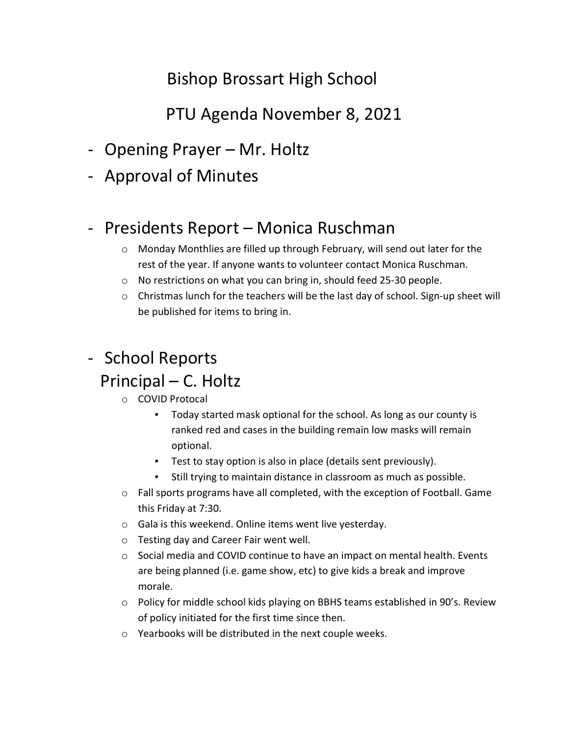# Bishop Brossart High School

# PTU Agenda November 8, 2021

- Opening Prayer Mr. Holtz
- Approval of Minutes

## - Presidents Report – Monica Ruschman

- o Monday Monthlies are filled up through February, will send out later for the rest of the year. If anyone wants to volunteer contact Monica Ruschman.
- o No restrictions on what you can bring in, should feed 25-30 people.
- o Christmas lunch for the teachers will be the last day of school. Sign-up sheet will be published for items to bring in.

# - School Reports Principal – C. Holtz

- o COVID Protocal
	- Today started mask optional for the school. As long as our county is ranked red and cases in the building remain low masks will remain optional.
	- Test to stay option is also in place (details sent previously).
	- Still trying to maintain distance in classroom as much as possible.
- $\circ$  Fall sports programs have all completed, with the exception of Football. Game this Friday at 7:30.
- o Gala is this weekend. Online items went live yesterday.
- o Testing day and Career Fair went well.
- $\circ$  Social media and COVID continue to have an impact on mental health. Events are being planned (i.e. game show, etc) to give kids a break and improve morale.
- $\circ$  Policy for middle school kids playing on BBHS teams established in 90's. Review of policy initiated for the first time since then.
- o Yearbooks will be distributed in the next couple weeks.